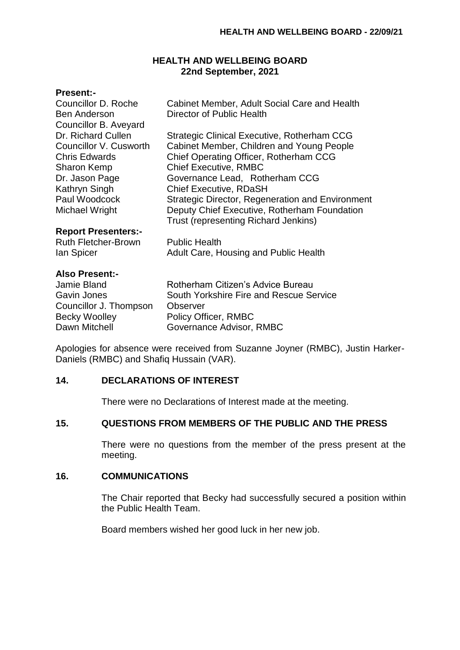### **HEALTH AND WELLBEING BOARD 22nd September, 2021**

#### **Present:-**

| Councillor D. Roche<br><b>Ben Anderson</b><br>Councillor B. Aveyard | Cabinet Member, Adult Social Care and Health<br>Director of Public Health                   |
|---------------------------------------------------------------------|---------------------------------------------------------------------------------------------|
| Dr. Richard Cullen                                                  | Strategic Clinical Executive, Rotherham CCG                                                 |
| Councillor V. Cusworth                                              | Cabinet Member, Children and Young People                                                   |
| <b>Chris Edwards</b>                                                | Chief Operating Officer, Rotherham CCG                                                      |
| <b>Sharon Kemp</b>                                                  | <b>Chief Executive, RMBC</b>                                                                |
| Dr. Jason Page                                                      | Governance Lead, Rotherham CCG                                                              |
| Kathryn Singh                                                       | <b>Chief Executive, RDaSH</b>                                                               |
| Paul Woodcock                                                       | <b>Strategic Director, Regeneration and Environment</b>                                     |
| Michael Wright                                                      | Deputy Chief Executive, Rotherham Foundation<br><b>Trust (representing Richard Jenkins)</b> |
| <b>Report Presenters:-</b>                                          |                                                                                             |
| <b>Ruth Fletcher-Brown</b>                                          | <b>Public Health</b>                                                                        |
| lan Spicer                                                          | Adult Care, Housing and Public Health                                                       |
| <b>Also Present:-</b>                                               |                                                                                             |
| Jamie Bland                                                         | Rotherham Citizen's Advice Bureau                                                           |
| Gavin Jones                                                         | South Yorkshire Fire and Rescue Service                                                     |

Councillor J. Thompson Observer Becky Woolley Policy Officer, RMBC Dawn Mitchell **Governance Advisor, RMBC** 

Apologies for absence were received from Suzanne Joyner (RMBC), Justin Harker-Daniels (RMBC) and Shafiq Hussain (VAR).

# **14. DECLARATIONS OF INTEREST**

There were no Declarations of Interest made at the meeting.

#### **15. QUESTIONS FROM MEMBERS OF THE PUBLIC AND THE PRESS**

There were no questions from the member of the press present at the meeting.

### **16. COMMUNICATIONS**

The Chair reported that Becky had successfully secured a position within the Public Health Team.

Board members wished her good luck in her new job.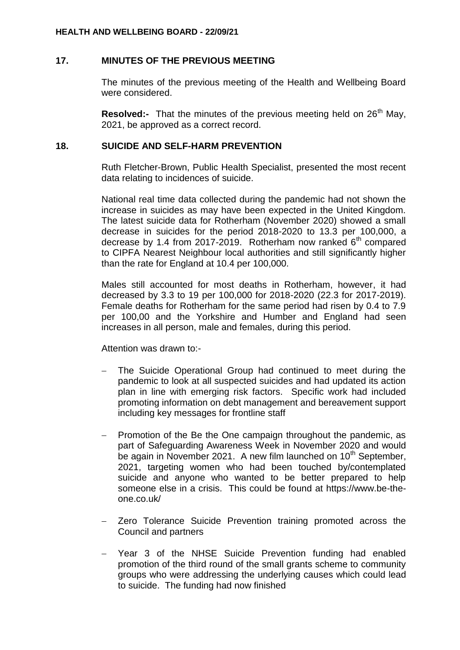### **17. MINUTES OF THE PREVIOUS MEETING**

The minutes of the previous meeting of the Health and Wellbeing Board were considered.

**Resolved:-** That the minutes of the previous meeting held on 26<sup>th</sup> May, 2021, be approved as a correct record.

#### **18. SUICIDE AND SELF-HARM PREVENTION**

Ruth Fletcher-Brown, Public Health Specialist, presented the most recent data relating to incidences of suicide.

National real time data collected during the pandemic had not shown the increase in suicides as may have been expected in the United Kingdom. The latest suicide data for Rotherham (November 2020) showed a small decrease in suicides for the period 2018-2020 to 13.3 per 100,000, a decrease by 1.4 from 2017-2019. Rotherham now ranked  $6<sup>th</sup>$  compared to CIPFA Nearest Neighbour local authorities and still significantly higher than the rate for England at 10.4 per 100,000.

Males still accounted for most deaths in Rotherham, however, it had decreased by 3.3 to 19 per 100,000 for 2018-2020 (22.3 for 2017-2019). Female deaths for Rotherham for the same period had risen by 0.4 to 7.9 per 100,00 and the Yorkshire and Humber and England had seen increases in all person, male and females, during this period.

Attention was drawn to:-

- The Suicide Operational Group had continued to meet during the pandemic to look at all suspected suicides and had updated its action plan in line with emerging risk factors. Specific work had included promoting information on debt management and bereavement support including key messages for frontline staff
- Promotion of the Be the One campaign throughout the pandemic, as part of Safeguarding Awareness Week in November 2020 and would be again in November 2021. A new film launched on  $10<sup>th</sup>$  September, 2021, targeting women who had been touched by/contemplated suicide and anyone who wanted to be better prepared to help someone else in a crisis. This could be found at https://www.be-theone.co.uk/
- Zero Tolerance Suicide Prevention training promoted across the Council and partners
- Year 3 of the NHSE Suicide Prevention funding had enabled promotion of the third round of the small grants scheme to community groups who were addressing the underlying causes which could lead to suicide. The funding had now finished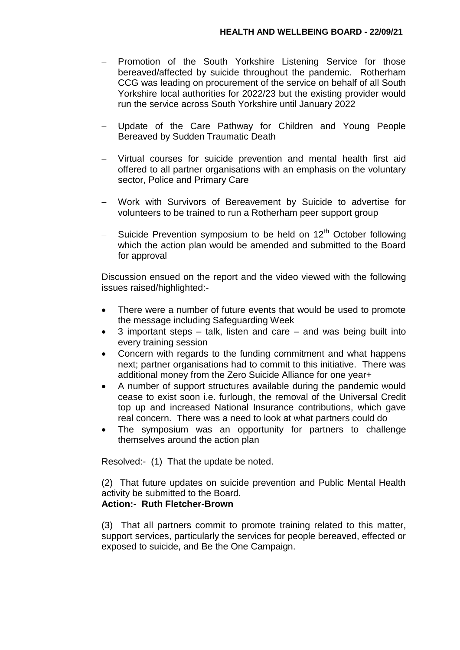- Promotion of the South Yorkshire Listening Service for those bereaved/affected by suicide throughout the pandemic. Rotherham CCG was leading on procurement of the service on behalf of all South Yorkshire local authorities for 2022/23 but the existing provider would run the service across South Yorkshire until January 2022
- Update of the Care Pathway for Children and Young People Bereaved by Sudden Traumatic Death
- Virtual courses for suicide prevention and mental health first aid offered to all partner organisations with an emphasis on the voluntary sector, Police and Primary Care
- Work with Survivors of Bereavement by Suicide to advertise for volunteers to be trained to run a Rotherham peer support group
- Suicide Prevention symposium to be held on 12<sup>th</sup> October following which the action plan would be amended and submitted to the Board for approval

Discussion ensued on the report and the video viewed with the following issues raised/highlighted:-

- There were a number of future events that would be used to promote the message including Safeguarding Week
- 3 important steps talk, listen and care and was being built into every training session
- Concern with regards to the funding commitment and what happens next; partner organisations had to commit to this initiative. There was additional money from the Zero Suicide Alliance for one year+
- A number of support structures available during the pandemic would cease to exist soon i.e. furlough, the removal of the Universal Credit top up and increased National Insurance contributions, which gave real concern. There was a need to look at what partners could do
- The symposium was an opportunity for partners to challenge themselves around the action plan

Resolved:- (1) That the update be noted.

(2) That future updates on suicide prevention and Public Mental Health activity be submitted to the Board. **Action:- Ruth Fletcher-Brown**

## (3) That all partners commit to promote training related to this matter, support services, particularly the services for people bereaved, effected or exposed to suicide, and Be the One Campaign.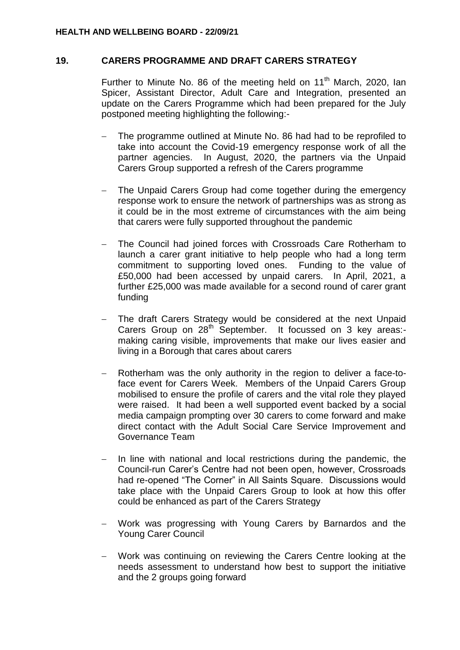#### **19. CARERS PROGRAMME AND DRAFT CARERS STRATEGY**

Further to Minute No. 86 of the meeting held on 11<sup>th</sup> March, 2020, Ian Spicer, Assistant Director, Adult Care and Integration, presented an update on the Carers Programme which had been prepared for the July postponed meeting highlighting the following:-

- The programme outlined at Minute No. 86 had had to be reprofiled to take into account the Covid-19 emergency response work of all the partner agencies. In August, 2020, the partners via the Unpaid Carers Group supported a refresh of the Carers programme
- The Unpaid Carers Group had come together during the emergency response work to ensure the network of partnerships was as strong as it could be in the most extreme of circumstances with the aim being that carers were fully supported throughout the pandemic
- The Council had joined forces with Crossroads Care Rotherham to launch a carer grant initiative to help people who had a long term commitment to supporting loved ones. Funding to the value of £50,000 had been accessed by unpaid carers. In April, 2021, a further £25,000 was made available for a second round of carer grant funding
- The draft Carers Strategy would be considered at the next Unpaid Carers Group on 28<sup>th</sup> September. It focussed on 3 key areas:making caring visible, improvements that make our lives easier and living in a Borough that cares about carers
- Rotherham was the only authority in the region to deliver a face-toface event for Carers Week. Members of the Unpaid Carers Group mobilised to ensure the profile of carers and the vital role they played were raised. It had been a well supported event backed by a social media campaign prompting over 30 carers to come forward and make direct contact with the Adult Social Care Service Improvement and Governance Team
- In line with national and local restrictions during the pandemic, the Council-run Carer's Centre had not been open, however, Crossroads had re-opened "The Corner" in All Saints Square. Discussions would take place with the Unpaid Carers Group to look at how this offer could be enhanced as part of the Carers Strategy
- Work was progressing with Young Carers by Barnardos and the Young Carer Council
- Work was continuing on reviewing the Carers Centre looking at the needs assessment to understand how best to support the initiative and the 2 groups going forward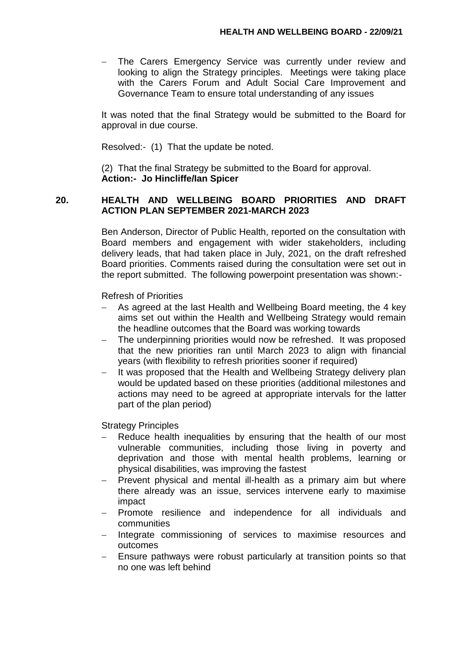The Carers Emergency Service was currently under review and looking to align the Strategy principles. Meetings were taking place with the Carers Forum and Adult Social Care Improvement and Governance Team to ensure total understanding of any issues

It was noted that the final Strategy would be submitted to the Board for approval in due course.

Resolved:- (1) That the update be noted.

(2) That the final Strategy be submitted to the Board for approval. **Action:- Jo Hincliffe/Ian Spicer**

# **20. HEALTH AND WELLBEING BOARD PRIORITIES AND DRAFT ACTION PLAN SEPTEMBER 2021-MARCH 2023**

Ben Anderson, Director of Public Health, reported on the consultation with Board members and engagement with wider stakeholders, including delivery leads, that had taken place in July, 2021, on the draft refreshed Board priorities. Comments raised during the consultation were set out in the report submitted. The following powerpoint presentation was shown:-

Refresh of Priorities

- As agreed at the last Health and Wellbeing Board meeting, the 4 key aims set out within the Health and Wellbeing Strategy would remain the headline outcomes that the Board was working towards
- The underpinning priorities would now be refreshed. It was proposed that the new priorities ran until March 2023 to align with financial years (with flexibility to refresh priorities sooner if required)
- It was proposed that the Health and Wellbeing Strategy delivery plan would be updated based on these priorities (additional milestones and actions may need to be agreed at appropriate intervals for the latter part of the plan period)

Strategy Principles

- Reduce health inequalities by ensuring that the health of our most vulnerable communities, including those living in poverty and deprivation and those with mental health problems, learning or physical disabilities, was improving the fastest
- Prevent physical and mental ill-health as a primary aim but where there already was an issue, services intervene early to maximise impact
- Promote resilience and independence for all individuals and communities
- Integrate commissioning of services to maximise resources and outcomes
- Ensure pathways were robust particularly at transition points so that no one was left behind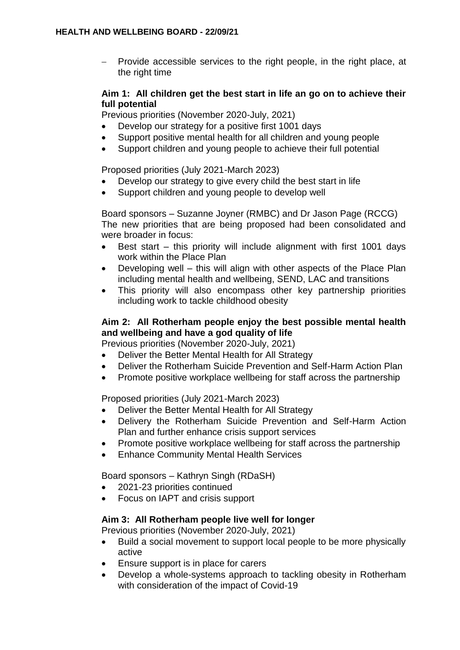$-$  Provide accessible services to the right people, in the right place, at the right time

## **Aim 1: All children get the best start in life an go on to achieve their full potential**

Previous priorities (November 2020-July, 2021)

- Develop our strategy for a positive first 1001 days
- Support positive mental health for all children and young people
- Support children and young people to achieve their full potential

Proposed priorities (July 2021-March 2023)

- Develop our strategy to give every child the best start in life
- Support children and young people to develop well

Board sponsors – Suzanne Joyner (RMBC) and Dr Jason Page (RCCG) The new priorities that are being proposed had been consolidated and were broader in focus:

- Best start this priority will include alignment with first 1001 days work within the Place Plan
- Developing well this will align with other aspects of the Place Plan including mental health and wellbeing, SEND, LAC and transitions
- This priority will also encompass other key partnership priorities including work to tackle childhood obesity

# **Aim 2: All Rotherham people enjoy the best possible mental health and wellbeing and have a god quality of life**

Previous priorities (November 2020-July, 2021)

- Deliver the Better Mental Health for All Strategy
- Deliver the Rotherham Suicide Prevention and Self-Harm Action Plan
- Promote positive workplace wellbeing for staff across the partnership

Proposed priorities (July 2021-March 2023)

- Deliver the Better Mental Health for All Strategy
- Delivery the Rotherham Suicide Prevention and Self-Harm Action Plan and further enhance crisis support services
- Promote positive workplace wellbeing for staff across the partnership
- Enhance Community Mental Health Services

Board sponsors – Kathryn Singh (RDaSH)

- 2021-23 priorities continued
- Focus on IAPT and crisis support

## **Aim 3: All Rotherham people live well for longer**

Previous priorities (November 2020-July, 2021)

- Build a social movement to support local people to be more physically active
- Ensure support is in place for carers
- Develop a whole-systems approach to tackling obesity in Rotherham with consideration of the impact of Covid-19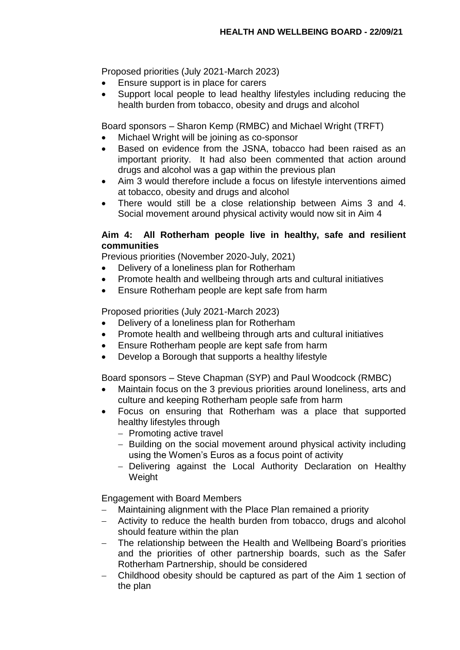Proposed priorities (July 2021-March 2023)

- Ensure support is in place for carers
- Support local people to lead healthy lifestyles including reducing the health burden from tobacco, obesity and drugs and alcohol

Board sponsors – Sharon Kemp (RMBC) and Michael Wright (TRFT)

- Michael Wright will be joining as co-sponsor
- Based on evidence from the JSNA, tobacco had been raised as an important priority. It had also been commented that action around drugs and alcohol was a gap within the previous plan
- Aim 3 would therefore include a focus on lifestyle interventions aimed at tobacco, obesity and drugs and alcohol
- There would still be a close relationship between Aims 3 and 4. Social movement around physical activity would now sit in Aim 4

# **Aim 4: All Rotherham people live in healthy, safe and resilient communities**

Previous priorities (November 2020-July, 2021)

- Delivery of a loneliness plan for Rotherham
- Promote health and wellbeing through arts and cultural initiatives
- Ensure Rotherham people are kept safe from harm

Proposed priorities (July 2021-March 2023)

- Delivery of a loneliness plan for Rotherham
- Promote health and wellbeing through arts and cultural initiatives
- Ensure Rotherham people are kept safe from harm
- Develop a Borough that supports a healthy lifestyle

Board sponsors – Steve Chapman (SYP) and Paul Woodcock (RMBC)

- Maintain focus on the 3 previous priorities around loneliness, arts and culture and keeping Rotherham people safe from harm
- Focus on ensuring that Rotherham was a place that supported healthy lifestyles through
	- Promoting active travel
	- Building on the social movement around physical activity including using the Women's Euros as a focus point of activity
	- Delivering against the Local Authority Declaration on Healthy Weight

Engagement with Board Members

- Maintaining alignment with the Place Plan remained a priority
- Activity to reduce the health burden from tobacco, drugs and alcohol should feature within the plan
- The relationship between the Health and Wellbeing Board's priorities and the priorities of other partnership boards, such as the Safer Rotherham Partnership, should be considered
- Childhood obesity should be captured as part of the Aim 1 section of the plan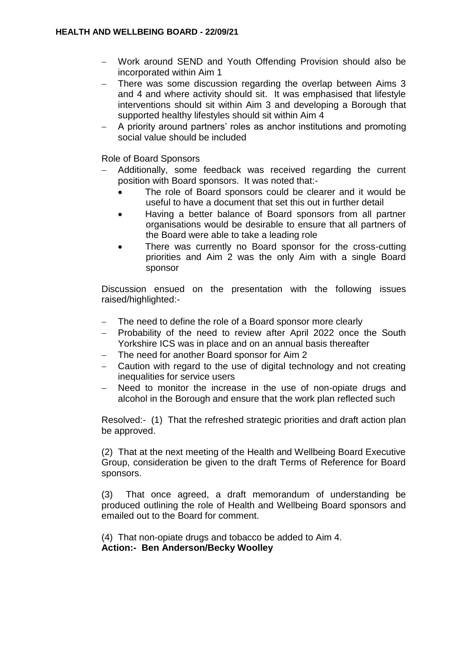- Work around SEND and Youth Offending Provision should also be incorporated within Aim 1
- There was some discussion regarding the overlap between Aims 3 and 4 and where activity should sit. It was emphasised that lifestyle interventions should sit within Aim 3 and developing a Borough that supported healthy lifestyles should sit within Aim 4
- A priority around partners' roles as anchor institutions and promoting social value should be included

Role of Board Sponsors

- Additionally, some feedback was received regarding the current position with Board sponsors. It was noted that:-
	- The role of Board sponsors could be clearer and it would be useful to have a document that set this out in further detail
	- Having a better balance of Board sponsors from all partner organisations would be desirable to ensure that all partners of the Board were able to take a leading role
	- There was currently no Board sponsor for the cross-cutting priorities and Aim 2 was the only Aim with a single Board sponsor

Discussion ensued on the presentation with the following issues raised/highlighted:-

- The need to define the role of a Board sponsor more clearly
- Probability of the need to review after April 2022 once the South Yorkshire ICS was in place and on an annual basis thereafter
- The need for another Board sponsor for Aim 2
- Caution with regard to the use of digital technology and not creating inequalities for service users
- Need to monitor the increase in the use of non-opiate drugs and alcohol in the Borough and ensure that the work plan reflected such

Resolved:- (1) That the refreshed strategic priorities and draft action plan be approved.

(2) That at the next meeting of the Health and Wellbeing Board Executive Group, consideration be given to the draft Terms of Reference for Board sponsors.

(3) That once agreed, a draft memorandum of understanding be produced outlining the role of Health and Wellbeing Board sponsors and emailed out to the Board for comment.

(4) That non-opiate drugs and tobacco be added to Aim 4. **Action:- Ben Anderson/Becky Woolley**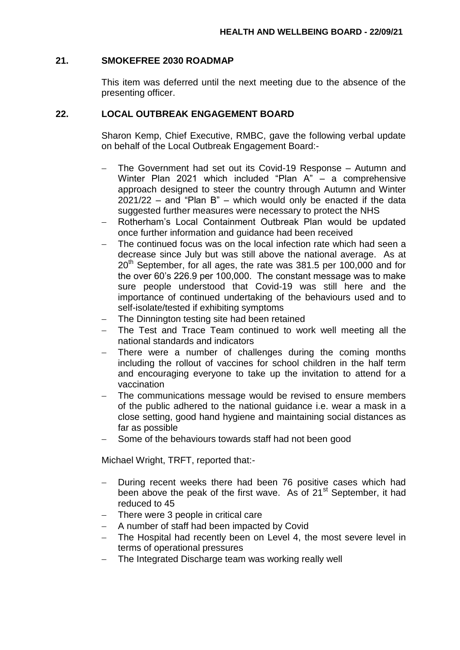#### **21. SMOKEFREE 2030 ROADMAP**

This item was deferred until the next meeting due to the absence of the presenting officer.

## **22. LOCAL OUTBREAK ENGAGEMENT BOARD**

Sharon Kemp, Chief Executive, RMBC, gave the following verbal update on behalf of the Local Outbreak Engagement Board:-

- The Government had set out its Covid-19 Response Autumn and Winter Plan 2021 which included "Plan A" – a comprehensive approach designed to steer the country through Autumn and Winter 2021/22 – and "Plan B" – which would only be enacted if the data suggested further measures were necessary to protect the NHS
- Rotherham's Local Containment Outbreak Plan would be updated once further information and guidance had been received
- The continued focus was on the local infection rate which had seen a decrease since July but was still above the national average. As at  $20<sup>th</sup>$  September, for all ages, the rate was 381.5 per 100,000 and for the over 60's 226.9 per 100,000. The constant message was to make sure people understood that Covid-19 was still here and the importance of continued undertaking of the behaviours used and to self-isolate/tested if exhibiting symptoms
- The Dinnington testing site had been retained
- The Test and Trace Team continued to work well meeting all the national standards and indicators
- There were a number of challenges during the coming months including the rollout of vaccines for school children in the half term and encouraging everyone to take up the invitation to attend for a vaccination
- The communications message would be revised to ensure members of the public adhered to the national guidance i.e. wear a mask in a close setting, good hand hygiene and maintaining social distances as far as possible
- Some of the behaviours towards staff had not been good

Michael Wright, TRFT, reported that:-

- During recent weeks there had been 76 positive cases which had been above the peak of the first wave. As of 21<sup>st</sup> September, it had reduced to 45
- There were 3 people in critical care
- A number of staff had been impacted by Covid
- The Hospital had recently been on Level 4, the most severe level in terms of operational pressures
- The Integrated Discharge team was working really well